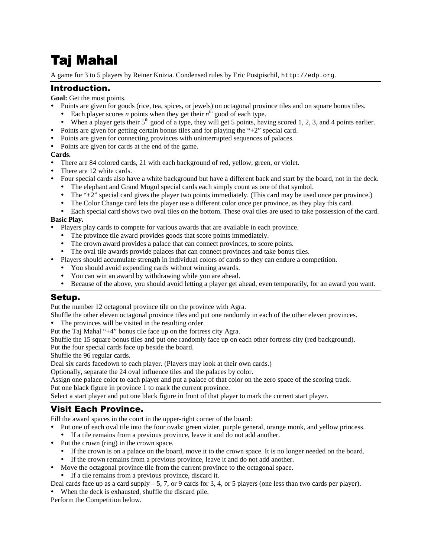# Taj Mahal

A game for 3 to 5 players by Reiner Knizia. Condensed rules by Eric Postpischil, http://edp.org.

#### Introduction.

**Goal:** Get the most points.

- Points are given for goods (rice, tea, spices, or jewels) on octagonal province tiles and on square bonus tiles.
	- Each player scores *n* points when they get their  $n^{\text{th}}$  good of each type.
	- $\bullet$  When a player gets their 5<sup>th</sup> good of a type, they will get 5 points, having scored 1, 2, 3, and 4 points earlier.
- Points are given for getting certain bonus tiles and for playing the "+2" special card.
- Points are given for connecting provinces with uninterrupted sequences of palaces.
- Points are given for cards at the end of the game.

#### **Cards.**

- There are 84 colored cards, 21 with each background of red, yellow, green, or violet.
- There are 12 white cards.
- Four special cards also have a white background but have a different back and start by the board, not in the deck.
	- The elephant and Grand Mogul special cards each simply count as one of that symbol.
	- The "+2" special card gives the player two points immediately. (This card may be used once per province.)
	- The Color Change card lets the player use a different color once per province, as they play this card.
	- Each special card shows two oval tiles on the bottom. These oval tiles are used to take possession of the card.

#### **Basic Play.**

- Players play cards to compete for various awards that are available in each province.
	- The province tile award provides goods that score points immediately.
	- The crown award provides a palace that can connect provinces, to score points.
	- The oval tile awards provide palaces that can connect provinces and take bonus tiles.
- Players should accumulate strength in individual colors of cards so they can endure a competition.
	- You should avoid expending cards without winning awards.
	- You can win an award by withdrawing while you are ahead.
	- Because of the above, you should avoid letting a player get ahead, even temporarily, for an award you want.

#### Setup.

Put the number 12 octagonal province tile on the province with Agra.

Shuffle the other eleven octagonal province tiles and put one randomly in each of the other eleven provinces.

The provinces will be visited in the resulting order.

Put the Taj Mahal "+4" bonus tile face up on the fortress city Agra.

Shuffle the 15 square bonus tiles and put one randomly face up on each other fortress city (red background).

Put the four special cards face up beside the board.

Shuffle the 96 regular cards.

Deal six cards facedown to each player. (Players may look at their own cards.)

Optionally, separate the 24 oval influence tiles and the palaces by color.

Assign one palace color to each player and put a palace of that color on the zero space of the scoring track.

Put one black figure in province 1 to mark the current province.

Select a start player and put one black figure in front of that player to mark the current start player.

## Visit Each Province.

Fill the award spaces in the court in the upper-right corner of the board:

- Put one of each oval tile into the four ovals: green vizier, purple general, orange monk, and yellow princess.
- If a tile remains from a previous province, leave it and do not add another.
- Put the crown (ring) in the crown space.
	- If the crown is on a palace on the board, move it to the crown space. It is no longer needed on the board.
	- If the crown remains from a previous province, leave it and do not add another.
- Move the octagonal province tile from the current province to the octagonal space.
	- If a tile remains from a previous province, discard it.

Deal cards face up as a card supply—5, 7, or 9 cards for 3, 4, or 5 players (one less than two cards per player).

When the deck is exhausted, shuffle the discard pile.

Perform the Competition below.